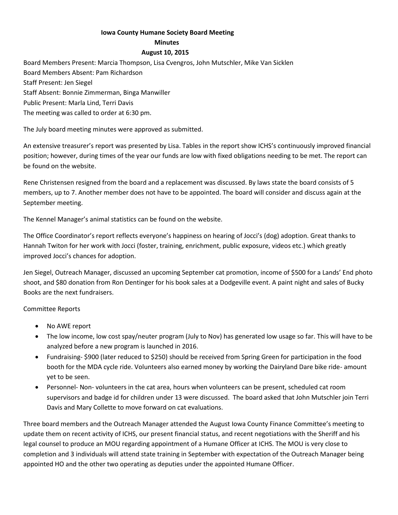## **Iowa County Humane Society Board Meeting**

## **Minutes**

## **August 10, 2015**

Board Members Present: Marcia Thompson, Lisa Cvengros, John Mutschler, Mike Van Sicklen Board Members Absent: Pam Richardson Staff Present: Jen Siegel Staff Absent: Bonnie Zimmerman, Binga Manwiller Public Present: Marla Lind, Terri Davis The meeting was called to order at 6:30 pm.

The July board meeting minutes were approved as submitted.

An extensive treasurer's report was presented by Lisa. Tables in the report show ICHS's continuously improved financial position; however, during times of the year our funds are low with fixed obligations needing to be met. The report can be found on the website.

Rene Christensen resigned from the board and a replacement was discussed. By laws state the board consists of 5 members, up to 7. Another member does not have to be appointed. The board will consider and discuss again at the September meeting.

The Kennel Manager's animal statistics can be found on the website.

The Office Coordinator's report reflects everyone's happiness on hearing of Jocci's (dog) adoption. Great thanks to Hannah Twiton for her work with Jocci (foster, training, enrichment, public exposure, videos etc.) which greatly improved Jocci's chances for adoption.

Jen Siegel, Outreach Manager, discussed an upcoming September cat promotion, income of \$500 for a Lands' End photo shoot, and \$80 donation from Ron Dentinger for his book sales at a Dodgeville event. A paint night and sales of Bucky Books are the next fundraisers.

Committee Reports

- No AWE report
- The low income, low cost spay/neuter program (July to Nov) has generated low usage so far. This will have to be analyzed before a new program is launched in 2016.
- Fundraising- \$900 (later reduced to \$250) should be received from Spring Green for participation in the food booth for the MDA cycle ride. Volunteers also earned money by working the Dairyland Dare bike ride- amount yet to be seen.
- Personnel- Non- volunteers in the cat area, hours when volunteers can be present, scheduled cat room supervisors and badge id for children under 13 were discussed. The board asked that John Mutschler join Terri Davis and Mary Collette to move forward on cat evaluations.

Three board members and the Outreach Manager attended the August Iowa County Finance Committee's meeting to update them on recent activity of ICHS, our present financial status, and recent negotiations with the Sheriff and his legal counsel to produce an MOU regarding appointment of a Humane Officer at ICHS. The MOU is very close to completion and 3 individuals will attend state training in September with expectation of the Outreach Manager being appointed HO and the other two operating as deputies under the appointed Humane Officer.